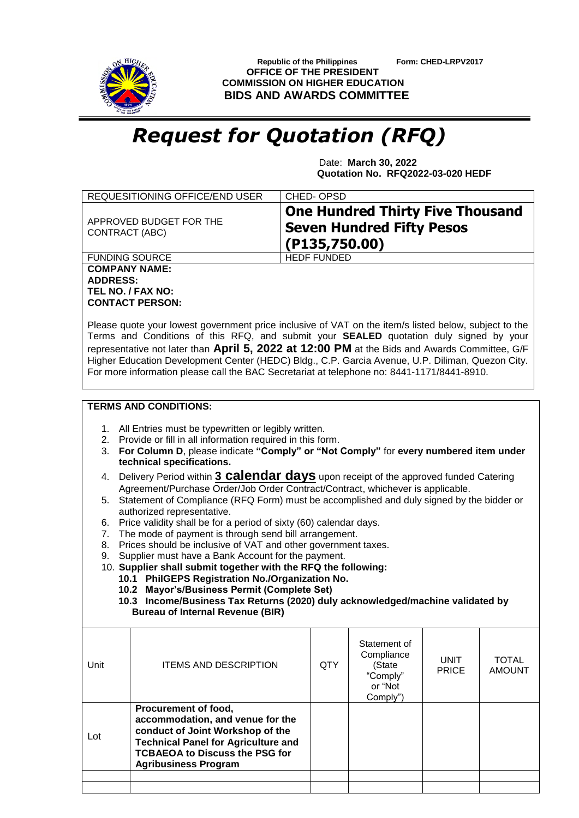

 **Republic of the Philippines Form: CHED-LRPV2017 OFFICE OF THE PRESIDENT COMMISSION ON HIGHER EDUCATION BIDS AND AWARDS COMMITTEE**

## *Request for Quotation (RFQ)*

 Date: **March 30, 2022 Quotation No. RFQ2022-03-020 HEDF**

| REQUESITIONING OFFICE/END USER                               | CHED-OPSD                                                                                    |
|--------------------------------------------------------------|----------------------------------------------------------------------------------------------|
| APPROVED BUDGET FOR THE<br>CONTRACT (ABC)                    | <b>One Hundred Thirty Five Thousand</b><br><b>Seven Hundred Fifty Pesos</b><br>(P135,750.00) |
| <b>FUNDING SOURCE</b>                                        | <b>HEDF FUNDED</b>                                                                           |
| <b>COMPANY NAME:</b><br><b>ADDRESS:</b><br>TEL NO. / FAX NO: |                                                                                              |

Please quote your lowest government price inclusive of VAT on the item/s listed below, subject to the Terms and Conditions of this RFQ, and submit your **SEALED** quotation duly signed by your representative not later than **April 5, 2022 at 12:00 PM** at the Bids and Awards Committee, G/F Higher Education Development Center (HEDC) Bldg., C.P. Garcia Avenue, U.P. Diliman, Quezon City. For more information please call the BAC Secretariat at telephone no: 8441-1171/8441-8910.

## **TERMS AND CONDITIONS:**

**CONTACT PERSON:**

- 1. All Entries must be typewritten or legibly written.
- 2. Provide or fill in all information required in this form.
- 3. **For Column D**, please indicate **"Comply" or "Not Comply"** for **every numbered item under technical specifications.**
- 4. Delivery Period within **3 calendar days** upon receipt of the approved funded Catering Agreement/Purchase Order/Job Order Contract/Contract, whichever is applicable.
- 5. Statement of Compliance (RFQ Form) must be accomplished and duly signed by the bidder or authorized representative.
- 6. Price validity shall be for a period of sixty (60) calendar days.
- 7. The mode of payment is through send bill arrangement.
- 8. Prices should be inclusive of VAT and other government taxes.
- 9. Supplier must have a Bank Account for the payment.
- 10. **Supplier shall submit together with the RFQ the following:**
	- **10.1 PhilGEPS Registration No./Organization No.**
	- **10.2 Mayor's/Business Permit (Complete Set)**
	- **10.3 Income/Business Tax Returns (2020) duly acknowledged/machine validated by Bureau of Internal Revenue (BIR)**

| Procurement of food,<br>accommodation, and venue for the<br>conduct of Joint Workshop of the<br>Lot<br><b>Technical Panel for Agriculture and</b> | Unit | <b>ITEMS AND DESCRIPTION</b>          | QTY | Statement of<br>Compliance<br>(State<br>"Comply"<br>or "Not<br>Comply") | <b>UNIT</b><br><b>PRICE</b> | <b>TOTAL</b><br><b>AMOUNT</b> |
|---------------------------------------------------------------------------------------------------------------------------------------------------|------|---------------------------------------|-----|-------------------------------------------------------------------------|-----------------------------|-------------------------------|
| <b>Agribusiness Program</b>                                                                                                                       |      | <b>TCBAEOA to Discuss the PSG for</b> |     |                                                                         |                             |                               |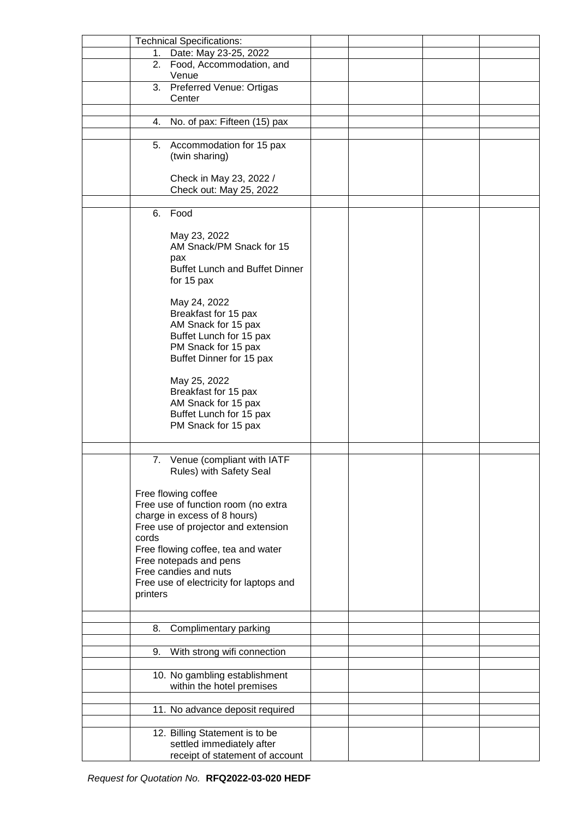|          | <b>Technical Specifications:</b>        |  |  |
|----------|-----------------------------------------|--|--|
| 1.       | Date: May 23-25, 2022                   |  |  |
| 2.       | Food, Accommodation, and                |  |  |
|          | Venue                                   |  |  |
| 3.       | Preferred Venue: Ortigas                |  |  |
|          |                                         |  |  |
|          | Center                                  |  |  |
|          |                                         |  |  |
| 4.       | No. of pax: Fifteen (15) pax            |  |  |
|          |                                         |  |  |
| 5.       | Accommodation for 15 pax                |  |  |
|          | (twin sharing)                          |  |  |
|          |                                         |  |  |
|          | Check in May 23, 2022 /                 |  |  |
|          | Check out: May 25, 2022                 |  |  |
|          |                                         |  |  |
|          |                                         |  |  |
| 6.       | Food                                    |  |  |
|          |                                         |  |  |
|          | May 23, 2022                            |  |  |
|          | AM Snack/PM Snack for 15                |  |  |
|          | pax                                     |  |  |
|          | <b>Buffet Lunch and Buffet Dinner</b>   |  |  |
|          | for 15 pax                              |  |  |
|          |                                         |  |  |
|          | May 24, 2022                            |  |  |
|          | Breakfast for 15 pax                    |  |  |
|          | AM Snack for 15 pax                     |  |  |
|          |                                         |  |  |
|          | Buffet Lunch for 15 pax                 |  |  |
|          | PM Snack for 15 pax                     |  |  |
|          | Buffet Dinner for 15 pax                |  |  |
|          |                                         |  |  |
|          | May 25, 2022                            |  |  |
|          | Breakfast for 15 pax                    |  |  |
|          | AM Snack for 15 pax                     |  |  |
|          | Buffet Lunch for 15 pax                 |  |  |
|          |                                         |  |  |
|          | PM Snack for 15 pax                     |  |  |
|          |                                         |  |  |
|          |                                         |  |  |
| 7.       | Venue (compliant with IATF              |  |  |
|          | Rules) with Safety Seal                 |  |  |
|          |                                         |  |  |
|          | Free flowing coffee                     |  |  |
|          | Free use of function room (no extra     |  |  |
|          | charge in excess of 8 hours)            |  |  |
|          | Free use of projector and extension     |  |  |
| cords    |                                         |  |  |
|          | Free flowing coffee, tea and water      |  |  |
|          | Free notepads and pens                  |  |  |
|          |                                         |  |  |
|          | Free candies and nuts                   |  |  |
|          | Free use of electricity for laptops and |  |  |
| printers |                                         |  |  |
|          |                                         |  |  |
|          |                                         |  |  |
| 8.       | Complimentary parking                   |  |  |
|          |                                         |  |  |
| 9.       | With strong wifi connection             |  |  |
|          |                                         |  |  |
|          |                                         |  |  |
|          | 10. No gambling establishment           |  |  |
|          | within the hotel premises               |  |  |
|          |                                         |  |  |
|          | 11. No advance deposit required         |  |  |
|          |                                         |  |  |
|          | 12. Billing Statement is to be          |  |  |
|          | settled immediately after               |  |  |
|          |                                         |  |  |
|          | receipt of statement of account         |  |  |